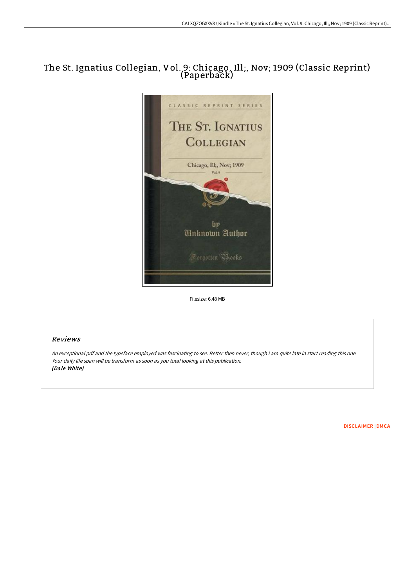# The St. Ignatius Collegian, Vol. 9: Chicago, Ill;, Nov; 1909 (Classic Reprint) (Paperback)



Filesize: 6.48 MB

## Reviews

An exceptional pdf and the typeface employed was fascinating to see. Better then never, though i am quite late in start reading this one. Your daily life span will be transform as soon as you total looking at this publication. (Dale White)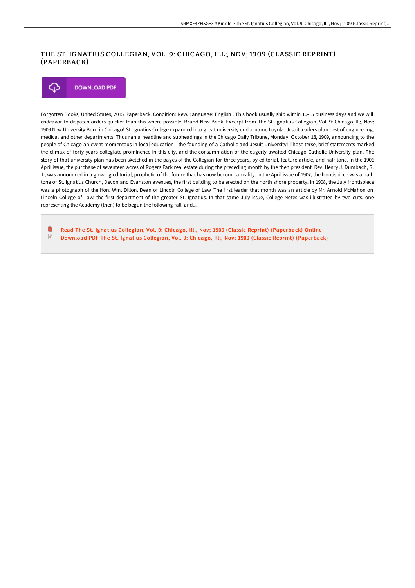#### THE ST. IGNATIUS COLLEGIAN, VOL. 9: CHICAGO, ILL;, NOV; 1909 (CLASSIC REPRINT) (PAPERBACK)

## ঞ **DOWNLOAD PDF**

Forgotten Books, United States, 2015. Paperback. Condition: New. Language: English . This book usually ship within 10-15 business days and we will endeavor to dispatch orders quicker than this where possible. Brand New Book. Excerpt from The St. Ignatius Collegian, Vol. 9: Chicago, Ill;, Nov; 1909 New University Born in Chicago! St. Ignatius College expanded into great university under name Loyola. Jesuit leaders plan best of engineering, medical and other departments. Thus ran a headline and subheadings in the Chicago Daily Tribune, Monday, October 18, 1909, announcing to the people of Chicago an event momentous in local education - the founding of a Catholic and Jesuit University! Those terse, brief statements marked the climax of forty years collegiate prominence in this city, and the consummation of the eagerly awaited Chicago Catholic University plan. The story of that university plan has been sketched in the pages of the Collegian for three years, by editorial, feature article, and half-tone. In the 1906 April issue, the purchase of seventeen acres of Rogers Park real estate during the preceding month by the then president. Rev. Henry J. Dumbach, S. J., was announced in a glowing editorial, prophetic of the future that has now become a reality. In the April issue of 1907, the frontispiece was a halftone of St. Ignatius Church, Devon and Evanston avenues, the first building to be erected on the north shore property. In 1908, the July frontispiece was a photograph of the Hon. Wm. Dillon, Dean of Lincoln College of Law. The first leader that month was an article by Mr. Arnold McMahon on Lincoln College of Law, the first department of the greater St. Ignatius. In that same July issue, College Notes was illustrated by two cuts, one representing the Academy (then) to be begun the following fall, and...

B Read The St. Ignatius Collegian, Vol. 9: Chicago, Ill;, Nov; 1909 (Classic Reprint) [\(Paperback\)](http://techno-pub.tech/the-st-ignatius-collegian-vol-9-chicago-ill-nov-.html) Online  $\sqrt{m}$ Download PDF The St. Ignatius Collegian, Vol. 9: Chicago, Ill;, Nov; 1909 (Classic Reprint) [\(Paperback\)](http://techno-pub.tech/the-st-ignatius-collegian-vol-9-chicago-ill-nov-.html)